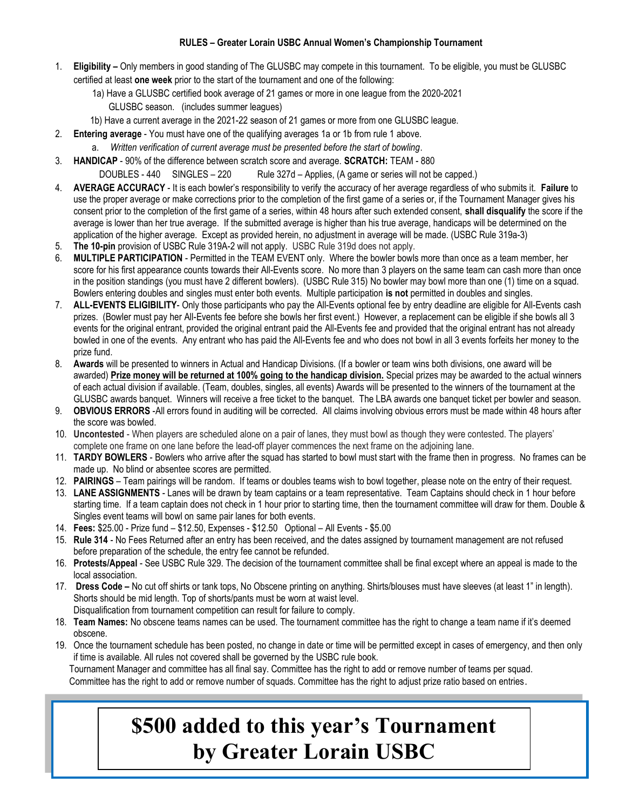## RULES – Greater Lorain USBC Annual Women's Championship Tournament

- 1. Eligibility Only members in good standing of The GLUSBC may compete in this tournament. To be eligible, you must be GLUSBC certified at least one week prior to the start of the tournament and one of the following:
	- 1a) Have a GLUSBC certified book average of 21 games or more in one league from the 2020-2021
		- GLUSBC season. (includes summer leagues)
	- 1b) Have a current average in the 2021-22 season of 21 games or more from one GLUSBC league.
- 2. Entering average You must have one of the qualifying averages 1a or 1b from rule 1 above.
	- a. Written verification of current average must be presented before the start of bowling.
- 3. HANDICAP 90% of the difference between scratch score and average. SCRATCH: TEAM 880

DOUBLES - 440 SINGLES - 220 Rule 327d - Applies, (A game or series will not be capped.)

- 4. AVERAGE ACCURACY It is each bowler's responsibility to verify the accuracy of her average regardless of who submits it. Failure to use the proper average or make corrections prior to the completion of the first game of a series or, if the Tournament Manager gives his consent prior to the completion of the first game of a series, within 48 hours after such extended consent, shall disqualify the score if the average is lower than her true average. If the submitted average is higher than his true average, handicaps will be determined on the application of the higher average. Except as provided herein, no adjustment in average will be made. (USBC Rule 319a-3)
- 5. The 10-pin provision of USBC Rule 319A-2 will not apply. USBC Rule 319d does not apply.
- 6. MULTIPLE PARTICIPATION Permitted in the TEAM EVENT only. Where the bowler bowls more than once as a team member, her score for his first appearance counts towards their All-Events score. No more than 3 players on the same team can cash more than once in the position standings (you must have 2 different bowlers). (USBC Rule 315) No bowler may bowl more than one (1) time on a squad. Bowlers entering doubles and singles must enter both events. Multiple participation is not permitted in doubles and singles.
- 7. ALL-EVENTS ELIGIBILITY- Only those participants who pay the All-Events optional fee by entry deadline are eligible for All-Events cash prizes. (Bowler must pay her All-Events fee before she bowls her first event.) However, a replacement can be eligible if she bowls all 3 events for the original entrant, provided the original entrant paid the All-Events fee and provided that the original entrant has not already bowled in one of the events. Any entrant who has paid the All-Events fee and who does not bowl in all 3 events forfeits her money to the prize fund.
- 8. Awards will be presented to winners in Actual and Handicap Divisions. (If a bowler or team wins both divisions, one award will be awarded) Prize money will be returned at 100% going to the handicap division. Special prizes may be awarded to the actual winners of each actual division if available. (Team, doubles, singles, all events) Awards will be presented to the winners of the tournament at the GLUSBC awards banquet. Winners will receive a free ticket to the banquet. The LBA awards one banquet ticket per bowler and season.
- 9. **OBVIOUS ERRORS** -All errors found in auditing will be corrected. All claims involving obvious errors must be made within 48 hours after the score was bowled.
- 10. Uncontested When players are scheduled alone on a pair of lanes, they must bowl as though they were contested. The players' complete one frame on one lane before the lead-off player commences the next frame on the adjoining lane.
- 11. TARDY BOWLERS Bowlers who arrive after the squad has started to bowl must start with the frame then in progress. No frames can be made up. No blind or absentee scores are permitted.
- 12. PAIRINGS Team pairings will be random. If teams or doubles teams wish to bowl together, please note on the entry of their request.
- 13. LANE ASSIGNMENTS Lanes will be drawn by team captains or a team representative. Team Captains should check in 1 hour before starting time. If a team captain does not check in 1 hour prior to starting time, then the tournament committee will draw for them. Double & Singles event teams will bowl on same pair lanes for both events.
- 14. Fees: \$25.00 Prize fund \$12.50, Expenses \$12.50 Optional All Events \$5.00
- 15. Rule 314 No Fees Returned after an entry has been received, and the dates assigned by tournament management are not refused before preparation of the schedule, the entry fee cannot be refunded.
- 16. Protests/Appeal See USBC Rule 329. The decision of the tournament committee shall be final except where an appeal is made to the local association.
- 17. Dress Code No cut off shirts or tank tops, No Obscene printing on anything. Shirts/blouses must have sleeves (at least 1" in length). Shorts should be mid length. Top of shorts/pants must be worn at waist level.
- Disqualification from tournament competition can result for failure to comply.
- 18. Team Names: No obscene teams names can be used. The tournament committee has the right to change a team name if it's deemed obscene.
- 19. Once the tournament schedule has been posted, no change in date or time will be permitted except in cases of emergency, and then only if time is available. All rules not covered shall be governed by the USBC rule book. Tournament Manager and committee has all final say. Committee has the right to add or remove number of teams per squad.

Committee has the right to add or remove number of squads. Committee has the right to adjust prize ratio based on entries.

## \$500 added to this year's Tournament by Greater Lorain USBC